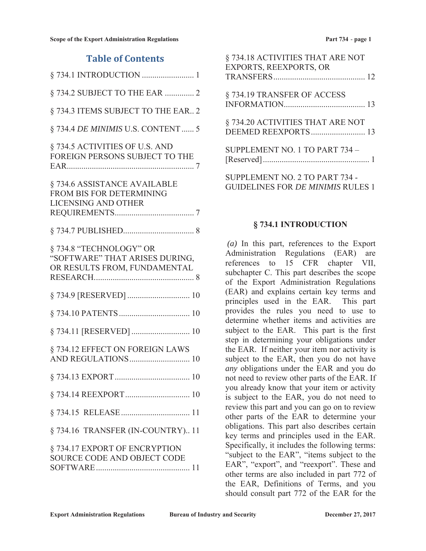| <b>Table of Contents</b>                                                                 |
|------------------------------------------------------------------------------------------|
|                                                                                          |
| § 734.2 SUBJECT TO THE EAR  2                                                            |
| § 734.3 ITEMS SUBJECT TO THE EAR 2                                                       |
| § 734.4 DE MINIMIS U.S. CONTENT 5                                                        |
| § 734.5 ACTIVITIES OF U.S. AND<br>FOREIGN PERSONS SUBJECT TO THE                         |
| §734.6 ASSISTANCE AVAILABLE<br>FROM BIS FOR DETERMINING<br><b>LICENSING AND OTHER</b>    |
|                                                                                          |
| §734.8 "TECHNOLOGY" OR<br>"SOFTWARE" THAT ARISES DURING,<br>OR RESULTS FROM, FUNDAMENTAL |
| § 734.9 [RESERVED]  10                                                                   |
|                                                                                          |
|                                                                                          |
| § 734.12 EFFECT ON FOREIGN LAWS<br>AND REGULATIONS 10                                    |
|                                                                                          |
|                                                                                          |
|                                                                                          |
| § 734.16 TRANSFER (IN-COUNTRY) 11                                                        |
| § 734.17 EXPORT OF ENCRYPTION<br>SOURCE CODE AND OBJECT CODE                             |

| § 734.18 ACTIVITIES THAT ARE NOT<br><b>EXPORTS, REEXPORTS, OR</b> |
|-------------------------------------------------------------------|
|                                                                   |
| § 734.19 TRANSFER OF ACCESS                                       |
|                                                                   |
| § 734.20 ACTIVITIES THAT ARE NOT                                  |
| DEEMED REEXPORTS 13                                               |
| SUPPLEMENT NO. 1 TO PART 734 -                                    |
|                                                                   |
| SUPPLEMENT NO. 2 TO PART 734 -                                    |
| <b>GUIDELINES FOR DE MINIMIS RULES 1</b>                          |

### **§ 734.1 INTRODUCTION**

*(a)* In this part, references to the Export Administration Regulations (EAR) are references to 15 CFR chapter VII, subchapter C. This part describes the scope of the Export Administration Regulations (EAR) and explains certain key terms and principles used in the EAR. This part provides the rules you need to use to determine whether items and activities are subject to the EAR. This part is the first step in determining your obligations under the EAR. If neither your item nor activity is subject to the EAR, then you do not have *any* obligations under the EAR and you do not need to review other parts of the EAR. If you already know that your item or activity is subject to the EAR, you do not need to review this part and you can go on to review other parts of the EAR to determine your obligations. This part also describes certain key terms and principles used in the EAR. Specifically, it includes the following terms: "subject to the EAR", "items subject to the EAR", "export", and "reexport". These and other terms are also included in part 772 of the EAR, Definitions of Terms, and you should consult part 772 of the EAR for the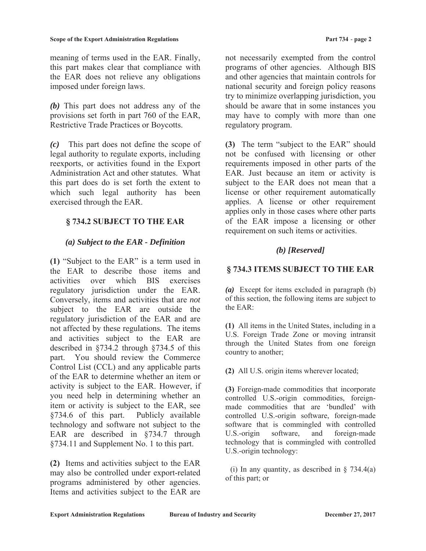meaning of terms used in the EAR. Finally, this part makes clear that compliance with the EAR does not relieve any obligations imposed under foreign laws.

*(b)* This part does not address any of the provisions set forth in part 760 of the EAR, Restrictive Trade Practices or Boycotts.

*(c)* This part does not define the scope of legal authority to regulate exports, including reexports, or activities found in the Export Administration Act and other statutes. What this part does do is set forth the extent to which such legal authority has been exercised through the EAR.

# **§ 734.2 SUBJECT TO THE EAR**

## *(a) Subject to the EAR - Definition*

**(1)** "Subject to the EAR" is a term used in the EAR to describe those items and activities over which BIS exercises regulatory jurisdiction under the EAR. Conversely, items and activities that are *not* subject to the EAR are outside the regulatory jurisdiction of the EAR and are not affected by these regulations. The items and activities subject to the EAR are described in §734.2 through §734.5 of this part. You should review the Commerce Control List (CCL) and any applicable parts of the EAR to determine whether an item or activity is subject to the EAR. However, if you need help in determining whether an item or activity is subject to the EAR, see §734.6 of this part. Publicly available technology and software not subject to the EAR are described in §734.7 through §734.11 and Supplement No. 1 to this part.

**(2)** Items and activities subject to the EAR may also be controlled under export-related programs administered by other agencies. Items and activities subject to the EAR are

not necessarily exempted from the control programs of other agencies. Although BIS and other agencies that maintain controls for national security and foreign policy reasons try to minimize overlapping jurisdiction, you should be aware that in some instances you may have to comply with more than one regulatory program.

**(3)** The term "subject to the EAR" should not be confused with licensing or other requirements imposed in other parts of the EAR. Just because an item or activity is subject to the EAR does not mean that a license or other requirement automatically applies. A license or other requirement applies only in those cases where other parts of the EAR impose a licensing or other requirement on such items or activities.

# *(b) [Reserved]*

### **§ 734.3 ITEMS SUBJECT TO THE EAR**

*(a)* Except for items excluded in paragraph (b) of this section, the following items are subject to the EAR:

**(1)** All items in the United States, including in a U.S. Foreign Trade Zone or moving intransit through the United States from one foreign country to another;

**(2)** All U.S. origin items wherever located;

**(3)** Foreign-made commodities that incorporate controlled U.S.-origin commodities, foreignmade commodities that are 'bundled' with controlled U.S.-origin software, foreign-made software that is commingled with controlled U.S.-origin software, and foreign-made technology that is commingled with controlled U.S.-origin technology:

(i) In any quantity, as described in  $\S$  734.4(a) of this part; or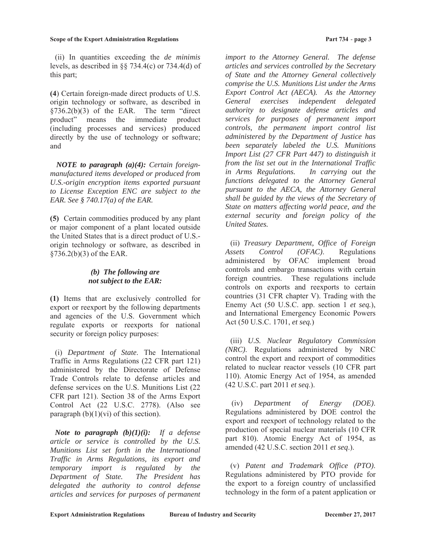#### **Scope of the Export Administration Regulations Part 734** - **page 3**

 (ii) In quantities exceeding the *de minimis*  levels, as described in  $\S$  734.4(c) or 734.4(d) of this part;

**(4**) Certain foreign-made direct products of U.S. origin technology or software, as described in  $§736.2(b)(3)$  of the EAR. The term "direct" product" means the immediate product (including processes and services) produced directly by the use of technology or software; and

*NOTE to paragraph (a)(4): Certain foreignmanufactured items developed or produced from U.S.-origin encryption items exported pursuant to License Exception ENC are subject to the EAR. See § 740.17(a) of the EAR.* 

**(5)** Certain commodities produced by any plant or major component of a plant located outside the United States that is a direct product of U.S. origin technology or software, as described in §736.2(b)(3) of the EAR.

#### *(b) The following are not subject to the EAR:*

**(1)** Items that are exclusively controlled for export or reexport by the following departments and agencies of the U.S. Government which regulate exports or reexports for national security or foreign policy purposes:

 (i) *Department of State*. The International Traffic in Arms Regulations (22 CFR part 121) administered by the Directorate of Defense Trade Controls relate to defense articles and defense services on the U.S. Munitions List (22 CFR part 121). Section 38 of the Arms Export Control Act (22 U.S.C. 2778). (Also see paragraph  $(b)(1)(vi)$  of this section).

*Note to paragraph (b)(1)(i): If a defense article or service is controlled by the U.S. Munitions List set forth in the International Traffic in Arms Regulations, its export and temporary import is regulated by the Department of State. The President has delegated the authority to control defense articles and services for purposes of permanent* 

*import to the Attorney General. The defense articles and services controlled by the Secretary of State and the Attorney General collectively comprise the U.S. Munitions List under the Arms Export Control Act (AECA). As the Attorney General exercises independent delegated authority to designate defense articles and services for purposes of permanent import controls, the permanent import control list administered by the Department of Justice has been separately labeled the U.S. Munitions Import List (27 CFR Part 447) to distinguish it from the list set out in the International Traffic in Arms Regulations. In carrying out the functions delegated to the Attorney General* 

*pursuant to the AECA, the Attorney General shall be guided by the views of the Secretary of State on matters affecting world peace, and the external security and foreign policy of the United States.* 

 (ii) *Treasury Department, Office of Foreign Assets Control (OFAC)*. Regulations administered by OFAC implement broad controls and embargo transactions with certain foreign countries. These regulations include controls on exports and reexports to certain countries (31 CFR chapter V). Trading with the Enemy Act (50 U.S.C. app. section 1 *et seq.*), and International Emergency Economic Powers Act (50 U.S.C. 1701, *et seq.*)

 (iii) *U.S. Nuclear Regulatory Commission (NRC)*. Regulations administered by NRC control the export and reexport of commodities related to nuclear reactor vessels (10 CFR part 110). Atomic Energy Act of 1954, as amended (42 U.S.C. part 2011 *et seq*.).

(iv) *Department of Energy (DOE)*. Regulations administered by DOE control the export and reexport of technology related to the production of special nuclear materials (10 CFR part 810). Atomic Energy Act of 1954, as amended (42 U.S.C. section 2011 *et seq*.).

 (v) *Patent and Trademark Office (PTO)*. Regulations administered by PTO provide for the export to a foreign country of unclassified technology in the form of a patent application or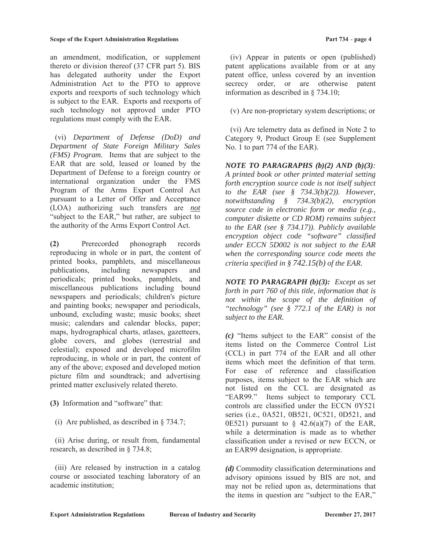an amendment, modification, or supplement thereto or division thereof (37 CFR part 5). BIS has delegated authority under the Export Administration Act to the PTO to approve exports and reexports of such technology which is subject to the EAR. Exports and reexports of such technology not approved under PTO regulations must comply with the EAR.

 (vi) *Department of Defense (DoD) and Department of State Foreign Military Sales (FMS) Program.* Items that are subject to the EAR that are sold, leased or loaned by the Department of Defense to a foreign country or international organization under the FMS Program of the Arms Export Control Act pursuant to a Letter of Offer and Acceptance (LOA) authorizing such transfers are *not* "subject to the EAR," but rather, are subject to the authority of the Arms Export Control Act.

**(2)** Prerecorded phonograph records reproducing in whole or in part, the content of printed books, pamphlets, and miscellaneous publications, including newspapers and periodicals; printed books, pamphlets, and miscellaneous publications including bound newspapers and periodicals; children's picture and painting books; newspaper and periodicals, unbound, excluding waste; music books; sheet music; calendars and calendar blocks, paper; maps, hydrographical charts, atlases, gazetteers, globe covers, and globes (terrestrial and celestial); exposed and developed microfilm reproducing, in whole or in part, the content of any of the above; exposed and developed motion picture film and soundtrack; and advertising printed matter exclusively related thereto.

- **(3)** Information and "software" that:
	- (i) Are published, as described in § 734.7;

 (ii) Arise during, or result from, fundamental research, as described in § 734.8;

 (iii) Are released by instruction in a catalog course or associated teaching laboratory of an academic institution;

 (iv) Appear in patents or open (published) patent applications available from or at any patent office, unless covered by an invention secrecy order, or are otherwise patent information as described in § 734.10;

(v) Are non-proprietary system descriptions; or

 (vi) Are telemetry data as defined in Note 2 to Category 9, Product Group E (see Supplement No. 1 to part 774 of the EAR).

*NOTE TO PARAGRAPHS (b)(2) AND (b)(3): A printed book or other printed material setting forth encryption source code is not itself subject to the EAR (see § 734.3(b)(2)). However, notwithstanding § 734.3(b)(2), encryption source code in electronic form or media (e.g., computer diskette or CD ROM) remains subject to the EAR (see § 734.17)). Publicly available encryption object code "software" classified under ECCN 5D002 is not subject to the EAR when the corresponding source code meets the criteria specified in § 742.15(b) of the EAR.* 

*NOTE TO PARAGRAPH (b)(3): Except as set forth in part 760 of this title, information that is not within the scope of the definition of "technology" (see § 772.1 of the EAR) is not subject to the EAR.*

*(c)* "Items subject to the EAR" consist of the items listed on the Commerce Control List (CCL) in part 774 of the EAR and all other items which meet the definition of that term. For ease of reference and classification purposes, items subject to the EAR which are not listed on the CCL are designated as "EAR99." Items subject to temporary CCL controls are classified under the ECCN 0Y521 series (i.e., 0A521, 0B521, 0C521, 0D521, and 0E521) pursuant to  $\frac{6}{5}$  42.6(a)(7) of the EAR, while a determination is made as to whether classification under a revised or new ECCN, or an EAR99 designation, is appropriate.

*(d)* Commodity classification determinations and advisory opinions issued by BIS are not, and may not be relied upon as, determinations that the items in question are "subject to the EAR,"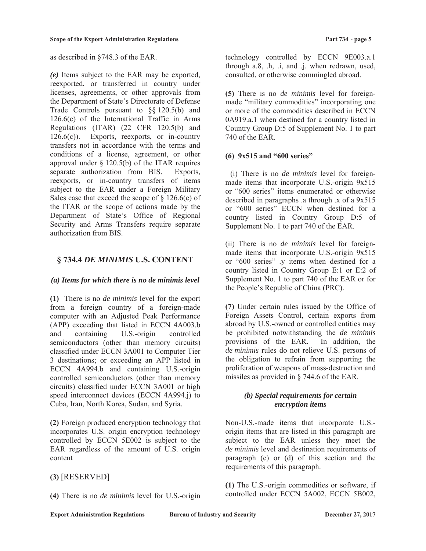as described in §748.3 of the EAR.

*(e)* Items subject to the EAR may be exported, reexported, or transferred in country under licenses, agreements, or other approvals from the Department of State's Directorate of Defense Trade Controls pursuant to §§ 120.5(b) and 126.6(c) of the International Traffic in Arms Regulations (ITAR) (22 CFR 120.5(b) and  $126.6(c)$ ). Exports, reexports, or in-country transfers not in accordance with the terms and conditions of a license, agreement, or other approval under  $\S$  120.5(b) of the ITAR requires separate authorization from BIS. Exports, reexports, or in-country transfers of items subject to the EAR under a Foreign Military Sales case that exceed the scope of  $\S$  126.6(c) of the ITAR or the scope of actions made by the Department of State's Office of Regional Security and Arms Transfers require separate authorization from BIS.

### **§ 734.4** *DE MINIMIS* **U.S. CONTENT**

#### *(a) Items for which there is no de minimis level*

**(1)** There is no *de minimis* level for the export from a foreign country of a foreign-made computer with an Adjusted Peak Performance (APP) exceeding that listed in ECCN 4A003.b and containing U.S.-origin controlled semiconductors (other than memory circuits) classified under ECCN 3A001 to Computer Tier 3 destinations; or exceeding an APP listed in ECCN 4A994.b and containing U.S.-origin controlled semiconductors (other than memory circuits) classified under ECCN 3A001 or high speed interconnect devices (ECCN 4A994.j) to Cuba, Iran, North Korea, Sudan, and Syria.

**(2)** Foreign produced encryption technology that incorporates U.S. origin encryption technology controlled by ECCN 5E002 is subject to the EAR regardless of the amount of U.S. origin content

**(3)** [RESERVED]

**(4)** There is no *de minimis* level for U.S.-origin

technology controlled by ECCN 9E003.a.1 through a.8, .h, .i, and .j. when redrawn, used, consulted, or otherwise commingled abroad.

**(5)** There is no *de minimis* level for foreignmade "military commodities" incorporating one or more of the commodities described in ECCN 0A919.a.1 when destined for a country listed in Country Group D:5 of Supplement No. 1 to part 740 of the EAR.

#### **(6) 9x515 and "600 series"**

(i) There is no *de minimis* level for foreignmade items that incorporate U.S.-origin 9x515 or "600 series" items enumerated or otherwise described in paragraphs .a through .x of a 9x515 or "600 series" ECCN when destined for a country listed in Country Group D:5 of Supplement No. 1 to part 740 of the EAR.

(ii) There is no *de minimis* level for foreignmade items that incorporate U.S.-origin 9x515 or "600 series" .y items when destined for a country listed in Country Group E:1 or E:2 of Supplement No. 1 to part 740 of the EAR or for the People's Republic of China (PRC).

**(7)** Under certain rules issued by the Office of Foreign Assets Control, certain exports from abroad by U.S.-owned or controlled entities may be prohibited notwithstanding the *de minimis*  provisions of the EAR. In addition, the *de minimis* rules do not relieve U.S. persons of the obligation to refrain from supporting the proliferation of weapons of mass-destruction and missiles as provided in § 744.6 of the EAR.

### *(b) Special requirements for certain encryption items*

Non-U.S.-made items that incorporate U.S. origin items that are listed in this paragraph are subject to the EAR unless they meet the *de minimis* level and destination requirements of paragraph (c) or (d) of this section and the requirements of this paragraph.

**(1)** The U.S.-origin commodities or software, if controlled under ECCN 5A002, ECCN 5B002,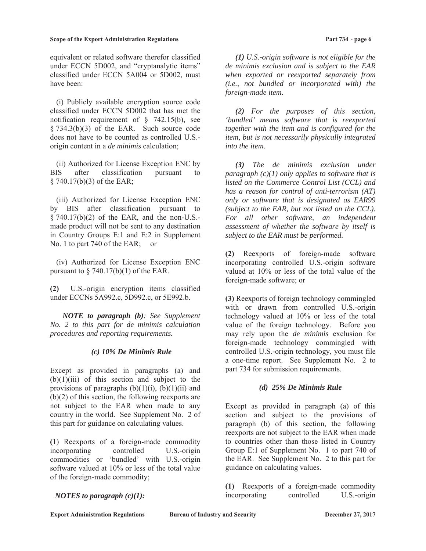#### **Scope of the Export Administration Regulations Part 734** - **page 6**

equivalent or related software therefor classified under ECCN 5D002, and "cryptanalytic items" classified under ECCN 5A004 or 5D002, must have been:

 (i) Publicly available encryption source code classified under ECCN 5D002 that has met the notification requirement of § 742.15(b), see § 734.3(b)(3) of the EAR. Such source code does not have to be counted as controlled U.S. origin content in a *de minimis* calculation;

(ii) Authorized for License Exception ENC by BIS after classification pursuant to § 740.17(b)(3) of the EAR;

(iii) Authorized for License Exception ENC by BIS after classification pursuant to § 740.17(b)(2) of the EAR, and the non-U.S. made product will not be sent to any destination in Country Groups E:1 and E:2 in Supplement No. 1 to part 740 of the EAR; or

(iv) Authorized for License Exception ENC pursuant to  $\S$  740.17(b)(1) of the EAR.

**(2)** U.S.-origin encryption items classified under ECCNs 5A992.c, 5D992.c, or 5E992.b.

*NOTE to paragraph (b): See Supplement No. 2 to this part for de minimis calculation procedures and reporting requirements.* 

#### *(c) 10% De Minimis Rule*

Except as provided in paragraphs (a) and  $(b)(1)(iii)$  of this section and subject to the provisions of paragraphs  $(b)(1)(i)$ ,  $(b)(1)(ii)$  and (b)(2) of this section, the following reexports are not subject to the EAR when made to any country in the world. See Supplement No. 2 of this part for guidance on calculating values.

**(1**) Reexports of a foreign-made commodity incorporating controlled U.S.-origin commodities or 'bundled' with U.S.-origin software valued at 10% or less of the total value of the foreign-made commodity;

### *NOTES to paragraph (c)(1):*

 *(1) U.S.-origin software is not eligible for the de minimis exclusion and is subject to the EAR when exported or reexported separately from (i.e., not bundled or incorporated with) the foreign-made item.* 

 *(2) For the purposes of this section, 'bundled' means software that is reexported together with the item and is configured for the item, but is not necessarily physically integrated into the item.* 

 *(3) The de minimis exclusion under paragraph (c)(1) only applies to software that is listed on the Commerce Control List (CCL) and has a reason for control of anti-terrorism (AT) only or software that is designated as EAR99 (subject to the EAR, but not listed on the CCL). For all other software, an independent assessment of whether the software by itself is subject to the EAR must be performed.* 

**(2)** Reexports of foreign-made software incorporating controlled U.S.-origin software valued at 10% or less of the total value of the foreign-made software; or

**(3)** Reexports of foreign technology commingled with or drawn from controlled U.S.-origin technology valued at 10% or less of the total value of the foreign technology. Before you may rely upon the *de minimis* exclusion for foreign-made technology commingled with controlled U.S.-origin technology, you must file a one-time report. See Supplement No. 2 to part 734 for submission requirements.

### *(d) 25% De Minimis Rule*

Except as provided in paragraph (a) of this section and subject to the provisions of paragraph (b) of this section, the following reexports are not subject to the EAR when made to countries other than those listed in Country Group E:1 of Supplement No. 1 to part 740 of the EAR. See Supplement No. 2 to this part for guidance on calculating values.

**(1)** Reexports of a foreign-made commodity incorporating controlled U.S.-origin

**Export Administration Regulations Bureau of Industry and Security bureau December 27, 2017**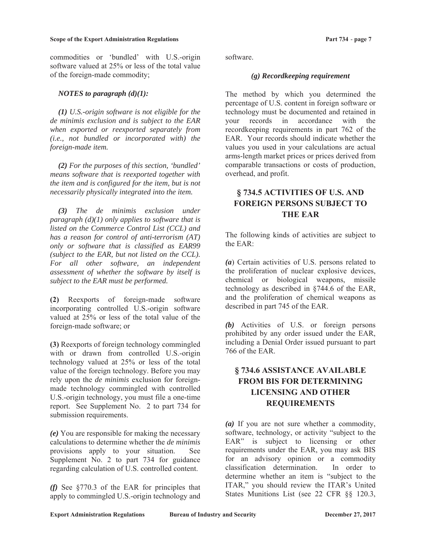commodities or 'bundled' with U.S.-origin software valued at 25% or less of the total value of the foreign-made commodity;

#### *NOTES to paragraph (d)(1):*

*(1) U.S.-origin software is not eligible for the de minimis exclusion and is subject to the EAR when exported or reexported separately from (i.e., not bundled or incorporated with) the foreign-made item.* 

*(2) For the purposes of this section, 'bundled' means software that is reexported together with the item and is configured for the item, but is not necessarily physically integrated into the item.* 

*(3) The de minimis exclusion under paragraph (d)(1) only applies to software that is listed on the Commerce Control List (CCL) and has a reason for control of anti-terrorism (AT) only or software that is classified as EAR99 (subject to the EAR, but not listed on the CCL). For all other software, an independent assessment of whether the software by itself is subject to the EAR must be performed.* 

**(2)** Reexports of foreign-made software incorporating controlled U.S.-origin software valued at 25% or less of the total value of the foreign-made software; or

**(3)** Reexports of foreign technology commingled with or drawn from controlled U.S.-origin technology valued at 25% or less of the total value of the foreign technology. Before you may rely upon the *de minimis* exclusion for foreignmade technology commingled with controlled U.S.-origin technology, you must file a one-time report. See Supplement No. 2 to part 734 for submission requirements.

*(e)* You are responsible for making the necessary calculations to determine whether the *de minimis*  provisions apply to your situation. See Supplement No. 2 to part 734 for guidance regarding calculation of U.S. controlled content.

*(f)* See §770.3 of the EAR for principles that apply to commingled U.S.-origin technology and

software.

#### *(g) Recordkeeping requirement*

The method by which you determined the percentage of U.S. content in foreign software or technology must be documented and retained in your records in accordance with the recordkeeping requirements in part 762 of the EAR. Your records should indicate whether the values you used in your calculations are actual arms-length market prices or prices derived from comparable transactions or costs of production, overhead, and profit.

# **§ 734.5 ACTIVITIES OF U.S. AND FOREIGN PERSONS SUBJECT TO THE EAR**

The following kinds of activities are subject to the EAR:

*(a*) Certain activities of U.S. persons related to the proliferation of nuclear explosive devices, chemical or biological weapons, missile technology as described in §744.6 of the EAR, and the proliferation of chemical weapons as described in part 745 of the EAR.

*(b)* Activities of U.S. or foreign persons prohibited by any order issued under the EAR, including a Denial Order issued pursuant to part 766 of the EAR.

# **§ 734.6 ASSISTANCE AVAILABLE FROM BIS FOR DETERMINING LICENSING AND OTHER REQUIREMENTS**

*(a)* If you are not sure whether a commodity, software, technology, or activity "subject to the EAR" is subject to licensing or other requirements under the EAR, you may ask BIS for an advisory opinion or a commodity classification determination. In order to determine whether an item is "subject to the ITAR," you should review the ITAR's United States Munitions List (see 22 CFR §§ 120.3,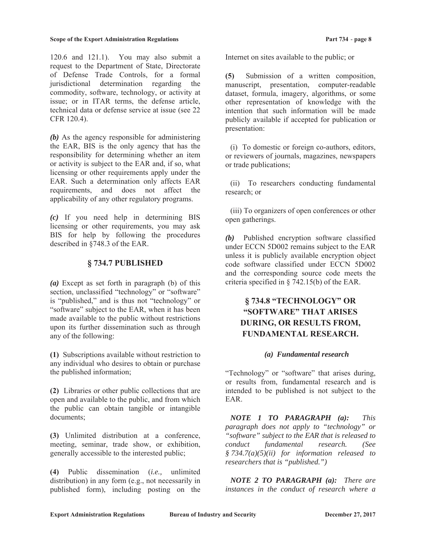120.6 and 121.1). You may also submit a request to the Department of State, Directorate of Defense Trade Controls, for a formal jurisdictional determination regarding the commodity, software, technology, or activity at issue; or in ITAR terms, the defense article, technical data or defense service at issue (see 22 CFR 120.4).

*(b)* As the agency responsible for administering the EAR, BIS is the only agency that has the responsibility for determining whether an item or activity is subject to the EAR and, if so, what licensing or other requirements apply under the EAR. Such a determination only affects EAR requirements, and does not affect the applicability of any other regulatory programs.

*(c)* If you need help in determining BIS licensing or other requirements, you may ask BIS for help by following the procedures described in §748.3 of the EAR.

### **§ 734.7 PUBLISHED**

*(a)* Except as set forth in paragraph (b) of this section, unclassified "technology" or "software" is "published," and is thus not "technology" or "software" subject to the EAR, when it has been made available to the public without restrictions upon its further dissemination such as through any of the following:

**(1)** Subscriptions available without restriction to any individual who desires to obtain or purchase the published information;

**(2)** Libraries or other public collections that are open and available to the public, and from which the public can obtain tangible or intangible documents;

**(3)** Unlimited distribution at a conference, meeting, seminar, trade show, or exhibition, generally accessible to the interested public;

**(4)** Public dissemination (*i.e.,* unlimited distribution) in any form (e.g., not necessarily in published form), including posting on the Internet on sites available to the public; or

**(5)** Submission of a written composition, manuscript, presentation, computer-readable dataset, formula, imagery, algorithms, or some other representation of knowledge with the intention that such information will be made publicly available if accepted for publication or presentation:

 (i) To domestic or foreign co-authors, editors, or reviewers of journals, magazines, newspapers or trade publications;

 (ii) To researchers conducting fundamental research; or

 (iii) To organizers of open conferences or other open gatherings.

*(b)* Published encryption software classified under ECCN 5D002 remains subject to the EAR unless it is publicly available encryption object code software classified under ECCN 5D002 and the corresponding source code meets the criteria specified in § 742.15(b) of the EAR.

# **§ 734.8 "TECHNOLOGY" OR "SOFTWARE" THAT ARISES DURING, OR RESULTS FROM, FUNDAMENTAL RESEARCH.**

#### *(a) Fundamental research*

"Technology" or "software" that arises during, or results from, fundamental research and is intended to be published is not subject to the EAR.

 *NOTE 1 TO PARAGRAPH (a): This paragraph does not apply to "technology" or "software" subject to the EAR that is released to conduct fundamental research. (See § 734.7(a)(5)(ii) for information released to researchers that is "published.")* 

 *NOTE 2 TO PARAGRAPH (a): There are instances in the conduct of research where a*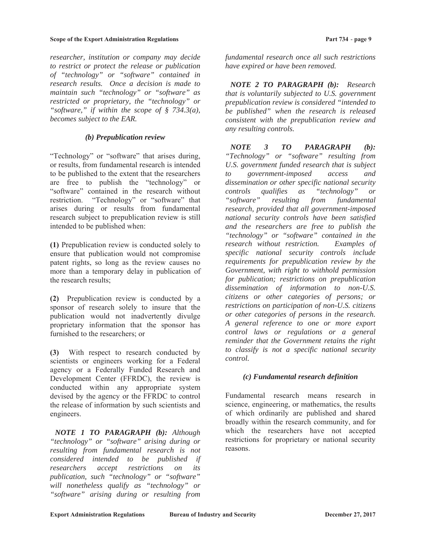#### **Scope of the Export Administration Regulations Acceptance Part 734 - page 9**

*researcher, institution or company may decide to restrict or protect the release or publication of "technology" or "software" contained in research results. Once a decision is made to maintain such "technology" or "software" as restricted or proprietary, the "technology" or "software," if within the scope of § 734.3(a), becomes subject to the EAR.*

#### *(b) Prepublication review*

"Technology" or "software" that arises during, or results, from fundamental research is intended to be published to the extent that the researchers are free to publish the "technology" or "software" contained in the research without restriction. "Technology" or "software" that arises during or results from fundamental research subject to prepublication review is still intended to be published when:

**(1)** Prepublication review is conducted solely to ensure that publication would not compromise patent rights, so long as the review causes no more than a temporary delay in publication of the research results;

**(2)** Prepublication review is conducted by a sponsor of research solely to insure that the publication would not inadvertently divulge proprietary information that the sponsor has furnished to the researchers; or

**(3)** With respect to research conducted by scientists or engineers working for a Federal agency or a Federally Funded Research and Development Center (FFRDC), the review is conducted within any appropriate system devised by the agency or the FFRDC to control the release of information by such scientists and engineers.

 *NOTE 1 TO PARAGRAPH (b): Although "technology" or "software" arising during or resulting from fundamental research is not considered intended to be published if researchers accept restrictions on its publication, such "technology" or "software" will nonetheless qualify as "technology" or "software" arising during or resulting from* 

*fundamental research once all such restrictions have expired or have been removed.* 

 *NOTE 2 TO PARAGRAPH (b): Research that is voluntarily subjected to U.S. government prepublication review is considered "intended to be published" when the research is released consistent with the prepublication review and any resulting controls.* 

 *NOTE 3 TO PARAGRAPH (b): "Technology" or "software" resulting from U.S. government funded research that is subject to government-imposed access and dissemination or other specific national security controls qualifies as "technology" or "software" resulting from fundamental research, provided that all government-imposed national security controls have been satisfied and the researchers are free to publish the "technology" or "software" contained in the research without restriction. Examples of specific national security controls include requirements for prepublication review by the Government, with right to withhold permission for publication; restrictions on prepublication dissemination of information to non-U.S. citizens or other categories of persons; or restrictions on participation of non-U.S. citizens or other categories of persons in the research. A general reference to one or more export control laws or regulations or a general reminder that the Government retains the right to classify is not a specific national security control.*

### *(c) Fundamental research definition*

Fundamental research means research in science, engineering, or mathematics, the results of which ordinarily are published and shared broadly within the research community, and for which the researchers have not accepted restrictions for proprietary or national security reasons.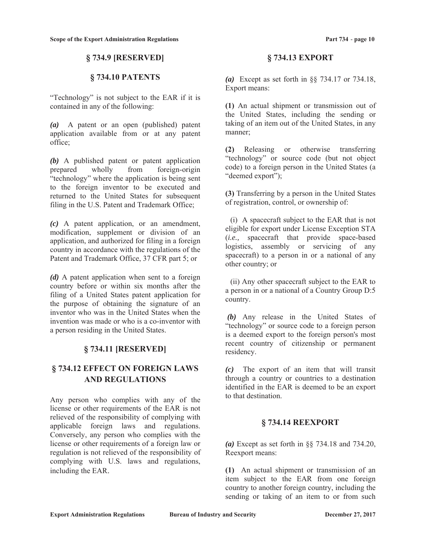### **§ 734.9 [RESERVED]**

### **§ 734.10 PATENTS**

"Technology" is not subject to the EAR if it is contained in any of the following:

*(a)* A patent or an open (published) patent application available from or at any patent office;

*(b)* A published patent or patent application prepared wholly from foreign-origin "technology" where the application is being sent to the foreign inventor to be executed and returned to the United States for subsequent filing in the U.S. Patent and Trademark Office;

*(c)* A patent application, or an amendment, modification, supplement or division of an application, and authorized for filing in a foreign country in accordance with the regulations of the Patent and Trademark Office, 37 CFR part 5; or

*(d)* A patent application when sent to a foreign country before or within six months after the filing of a United States patent application for the purpose of obtaining the signature of an inventor who was in the United States when the invention was made or who is a co-inventor with a person residing in the United States.

### **§ 734.11 [RESERVED]**

## **§ 734.12 EFFECT ON FOREIGN LAWS AND REGULATIONS**

Any person who complies with any of the license or other requirements of the EAR is not relieved of the responsibility of complying with applicable foreign laws and regulations. Conversely, any person who complies with the license or other requirements of a foreign law or regulation is not relieved of the responsibility of complying with U.S. laws and regulations, including the EAR.

#### **§ 734.13 EXPORT**

*(a)* Except as set forth in §§ 734.17 or 734.18, Export means:

**(1)** An actual shipment or transmission out of the United States, including the sending or taking of an item out of the United States, in any manner;

**(2)** Releasing or otherwise transferring "technology" or source code (but not object code) to a foreign person in the United States (a "deemed export");

**(3)** Transferring by a person in the United States of registration, control, or ownership of:

(i) A spacecraft subject to the EAR that is not eligible for export under License Exception STA (*i.e.,* spacecraft that provide space-based logistics, assembly or servicing of any spacecraft) to a person in or a national of any other country; or

(ii) Any other spacecraft subject to the EAR to a person in or a national of a Country Group D:5 country.

 *(b)* Any release in the United States of "technology" or source code to a foreign person is a deemed export to the foreign person's most recent country of citizenship or permanent residency.

*(c)* The export of an item that will transit through a country or countries to a destination identified in the EAR is deemed to be an export to that destination.

### **§ 734.14 REEXPORT**

*(a)* Except as set forth in §§ 734.18 and 734.20, Reexport means:

**(1)** An actual shipment or transmission of an item subject to the EAR from one foreign country to another foreign country, including the sending or taking of an item to or from such

**Export Administration Regulations Bureau of Industry and Security bureau December 27, 2017**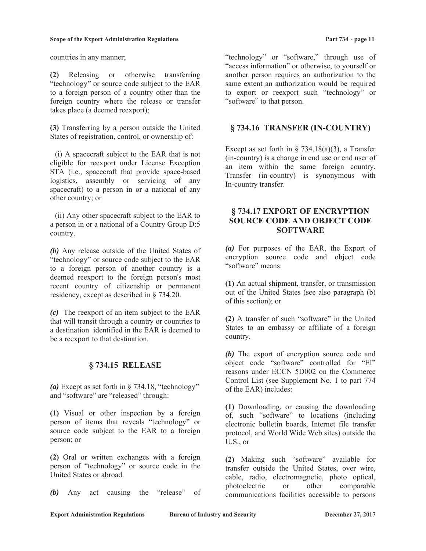#### **Scope of the Export Administration Regulations in the expansion Part 734 - page 11**

countries in any manner;

**(2)** Releasing or otherwise transferring "technology" or source code subject to the EAR to a foreign person of a country other than the foreign country where the release or transfer takes place (a deemed reexport);

**(3)** Transferring by a person outside the United States of registration, control, or ownership of:

(i) A spacecraft subject to the EAR that is not eligible for reexport under License Exception STA (i.e., spacecraft that provide space-based logistics, assembly or servicing of any spacecraft) to a person in or a national of any other country; or

(ii) Any other spacecraft subject to the EAR to a person in or a national of a Country Group D:5 country.

*(b)* Any release outside of the United States of "technology" or source code subject to the EAR to a foreign person of another country is a deemed reexport to the foreign person's most recent country of citizenship or permanent residency, except as described in § 734.20.

*(c)* The reexport of an item subject to the EAR that will transit through a country or countries to a destination identified in the EAR is deemed to be a reexport to that destination.

### **§ 734.15 RELEASE**

*(a)* Except as set forth in § 734.18, "technology" and "software" are "released" through:

**(1)** Visual or other inspection by a foreign person of items that reveals "technology" or source code subject to the EAR to a foreign person; or

**(2)** Oral or written exchanges with a foreign person of "technology" or source code in the United States or abroad.

*(b)* Any act causing the "release" of

"technology" or "software," through use of "access information" or otherwise, to yourself or another person requires an authorization to the same extent an authorization would be required to export or reexport such "technology" or "software" to that person.

### **§ 734.16 TRANSFER (IN-COUNTRY)**

Except as set forth in  $\S$  734.18(a)(3), a Transfer (in-country) is a change in end use or end user of an item within the same foreign country. Transfer (in-country) is synonymous with In-country transfer.

### **§ 734.17 EXPORT OF ENCRYPTION SOURCE CODE AND OBJECT CODE SOFTWARE**

*(a)* For purposes of the EAR, the Export of encryption source code and object code "software" means:

**(1)** An actual shipment, transfer, or transmission out of the United States (see also paragraph (b) of this section); or

**(2)** A transfer of such "software" in the United States to an embassy or affiliate of a foreign country.

*(b)* The export of encryption source code and object code "software" controlled for "EI" reasons under ECCN 5D002 on the Commerce Control List (see Supplement No. 1 to part 774 of the EAR) includes:

**(1)** Downloading, or causing the downloading of, such "software" to locations (including electronic bulletin boards, Internet file transfer protocol, and World Wide Web sites) outside the U.S., or

**(2)** Making such "software" available for transfer outside the United States, over wire, cable, radio, electromagnetic, photo optical, photoelectric or other comparable communications facilities accessible to persons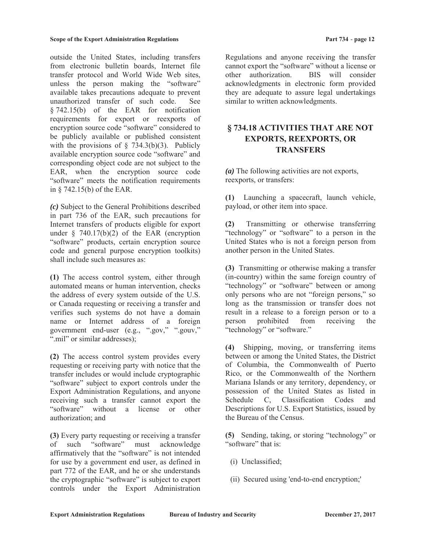outside the United States, including transfers from electronic bulletin boards, Internet file transfer protocol and World Wide Web sites, unless the person making the "software" available takes precautions adequate to prevent unauthorized transfer of such code. See § 742.15(b) of the EAR for notification requirements for export or reexports of encryption source code "software" considered to be publicly available or published consistent with the provisions of  $\S$  734.3(b)(3). Publicly available encryption source code "software" and corresponding object code are not subject to the EAR, when the encryption source code "software" meets the notification requirements in § 742.15(b) of the EAR.

*(c)* Subject to the General Prohibitions described in part 736 of the EAR, such precautions for Internet transfers of products eligible for export under  $§$  740.17(b)(2) of the EAR (encryption "software" products, certain encryption source code and general purpose encryption toolkits) shall include such measures as:

**(1)** The access control system, either through automated means or human intervention, checks the address of every system outside of the U.S. or Canada requesting or receiving a transfer and verifies such systems do not have a domain name or Internet address of a foreign government end-user (e.g., ".gov," ".gouv," ".mil" or similar addresses);

**(2)** The access control system provides every requesting or receiving party with notice that the transfer includes or would include cryptographic "software" subject to export controls under the Export Administration Regulations, and anyone receiving such a transfer cannot export the "software" without a license or other authorization; and

**(3)** Every party requesting or receiving a transfer of such "software" must acknowledge affirmatively that the "software" is not intended for use by a government end user, as defined in part 772 of the EAR, and he or she understands the cryptographic "software" is subject to export controls under the Export Administration

Regulations and anyone receiving the transfer cannot export the "software" without a license or other authorization. BIS will consider acknowledgments in electronic form provided they are adequate to assure legal undertakings similar to written acknowledgments.

## **§ 734.18 ACTIVITIES THAT ARE NOT EXPORTS, REEXPORTS, OR TRANSFERS**

*(a)* The following activities are not exports, reexports, or transfers:

**(1)** Launching a spacecraft, launch vehicle, payload, or other item into space.

**(2)** Transmitting or otherwise transferring "technology" or "software" to a person in the United States who is not a foreign person from another person in the United States.

**(3)** Transmitting or otherwise making a transfer (in-country) within the same foreign country of "technology" or "software" between or among only persons who are not "foreign persons," so long as the transmission or transfer does not result in a release to a foreign person or to a person prohibited from receiving the "technology" or "software."

**(4)** Shipping, moving, or transferring items between or among the United States, the District of Columbia, the Commonwealth of Puerto Rico, or the Commonwealth of the Northern Mariana Islands or any territory, dependency, or possession of the United States as listed in Schedule C, Classification Codes and Descriptions for U.S. Export Statistics, issued by the Bureau of the Census.

**(5)** Sending, taking, or storing "technology" or "software" that is:

- (i) Unclassified;
- (ii) Secured using 'end-to-end encryption;'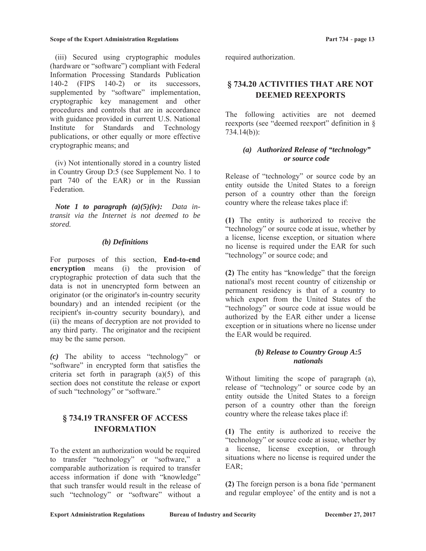(iii) Secured using cryptographic modules (hardware or "software") compliant with Federal Information Processing Standards Publication 140-2 (FIPS 140-2) or its successors, supplemented by "software" implementation, cryptographic key management and other procedures and controls that are in accordance with guidance provided in current U.S. National Institute for Standards and Technology publications, or other equally or more effective cryptographic means; and

(iv) Not intentionally stored in a country listed in Country Group D:5 (see Supplement No. 1 to part 740 of the EAR) or in the Russian Federation.

*Note 1 to paragraph (a)(5)(iv): Data intransit via the Internet is not deemed to be stored.*

### *(b) Definitions*

For purposes of this section, **End-to-end encryption** means (i) the provision of cryptographic protection of data such that the data is not in unencrypted form between an originator (or the originator's in-country security boundary) and an intended recipient (or the recipient's in-country security boundary), and (ii) the means of decryption are not provided to any third party. The originator and the recipient may be the same person.

*(c)* The ability to access "technology" or "software" in encrypted form that satisfies the criteria set forth in paragraph  $(a)(5)$  of this section does not constitute the release or export of such "technology" or "software."

# **§ 734.19 TRANSFER OF ACCESS INFORMATION**

To the extent an authorization would be required to transfer "technology" or "software," a comparable authorization is required to transfer access information if done with "knowledge" that such transfer would result in the release of such "technology" or "software" without a

required authorization.

# **§ 734.20 ACTIVITIES THAT ARE NOT DEEMED REEXPORTS**

The following activities are not deemed reexports (see "deemed reexport" definition in § 734.14(b)):

### *(a) Authorized Release of "technology" or source code*

Release of "technology" or source code by an entity outside the United States to a foreign person of a country other than the foreign country where the release takes place if:

**(1)** The entity is authorized to receive the "technology" or source code at issue, whether by a license, license exception, or situation where no license is required under the EAR for such "technology" or source code; and

**(2)** The entity has "knowledge" that the foreign national's most recent country of citizenship or permanent residency is that of a country to which export from the United States of the "technology" or source code at issue would be authorized by the EAR either under a license exception or in situations where no license under the EAR would be required.

### *(b) Release to Country Group A:5 nationals*

Without limiting the scope of paragraph (a), release of "technology" or source code by an entity outside the United States to a foreign person of a country other than the foreign country where the release takes place if:

**(1)** The entity is authorized to receive the "technology" or source code at issue, whether by a license, license exception, or through situations where no license is required under the EAR;

**(2)** The foreign person is a bona fide 'permanent and regular employee' of the entity and is not a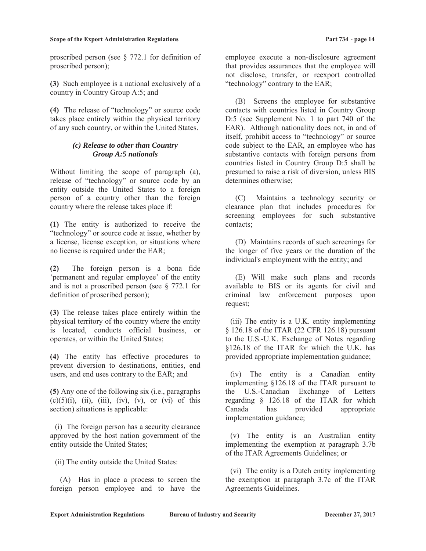proscribed person (see § 772.1 for definition of proscribed person);

**(3)** Such employee is a national exclusively of a country in Country Group A:5; and

**(4)** The release of "technology" or source code takes place entirely within the physical territory of any such country, or within the United States.

#### *(c) Release to other than Country Group A:5 nationals*

Without limiting the scope of paragraph (a), release of "technology" or source code by an entity outside the United States to a foreign person of a country other than the foreign country where the release takes place if:

**(1)** The entity is authorized to receive the "technology" or source code at issue, whether by a license, license exception, or situations where no license is required under the EAR;

**(2)** The foreign person is a bona fide 'permanent and regular employee' of the entity and is not a proscribed person (see § 772.1 for definition of proscribed person);

**(3)** The release takes place entirely within the physical territory of the country where the entity is located, conducts official business, or operates, or within the United States;

**(4)** The entity has effective procedures to prevent diversion to destinations, entities, end users, and end uses contrary to the EAR; and

**(5)** Any one of the following six (i.e., paragraphs  $(c)(5)(i)$ ,  $(ii)$ ,  $(iii)$ ,  $(iv)$ ,  $(v)$ , or  $(vi)$  of this section) situations is applicable:

(i) The foreign person has a security clearance approved by the host nation government of the entity outside the United States;

(ii) The entity outside the United States:

(A) Has in place a process to screen the foreign person employee and to have the

employee execute a non-disclosure agreement that provides assurances that the employee will not disclose, transfer, or reexport controlled "technology" contrary to the EAR;

(B) Screens the employee for substantive contacts with countries listed in Country Group D:5 (see Supplement No. 1 to part 740 of the EAR). Although nationality does not, in and of itself, prohibit access to "technology" or source code subject to the EAR, an employee who has substantive contacts with foreign persons from countries listed in Country Group D:5 shall be presumed to raise a risk of diversion, unless BIS determines otherwise;

(C) Maintains a technology security or clearance plan that includes procedures for screening employees for such substantive contacts;

(D) Maintains records of such screenings for the longer of five years or the duration of the individual's employment with the entity; and

(E) Will make such plans and records available to BIS or its agents for civil and criminal law enforcement purposes upon request;

(iii) The entity is a U.K. entity implementing § 126.18 of the ITAR (22 CFR 126.18) pursuant to the U.S.-U.K. Exchange of Notes regarding §126.18 of the ITAR for which the U.K. has provided appropriate implementation guidance;

(iv) The entity is a Canadian entity implementing §126.18 of the ITAR pursuant to the U.S.-Canadian Exchange of Letters regarding § 126.18 of the ITAR for which Canada has provided appropriate implementation guidance;

(v) The entity is an Australian entity implementing the exemption at paragraph 3.7b of the ITAR Agreements Guidelines; or

(vi) The entity is a Dutch entity implementing the exemption at paragraph 3.7c of the ITAR Agreements Guidelines.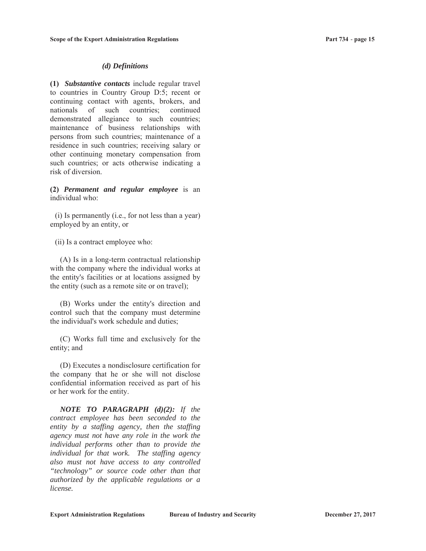#### *(d) Definitions*

**(1)** *Substantive contacts* include regular travel to countries in Country Group D:5; recent or continuing contact with agents, brokers, and nationals of such countries; continued demonstrated allegiance to such countries; maintenance of business relationships with persons from such countries; maintenance of a residence in such countries; receiving salary or other continuing monetary compensation from such countries; or acts otherwise indicating a risk of diversion.

**(2)** *Permanent and regular employee* is an individual who:

(i) Is permanently (i.e., for not less than a year) employed by an entity, or

(ii) Is a contract employee who:

(A) Is in a long-term contractual relationship with the company where the individual works at the entity's facilities or at locations assigned by the entity (such as a remote site or on travel);

(B) Works under the entity's direction and control such that the company must determine the individual's work schedule and duties;

(C) Works full time and exclusively for the entity; and

(D) Executes a nondisclosure certification for the company that he or she will not disclose confidential information received as part of his or her work for the entity.

*NOTE TO PARAGRAPH (d)(2): If the contract employee has been seconded to the entity by a staffing agency, then the staffing agency must not have any role in the work the individual performs other than to provide the individual for that work. The staffing agency also must not have access to any controlled "technology" or source code other than that authorized by the applicable regulations or a license.*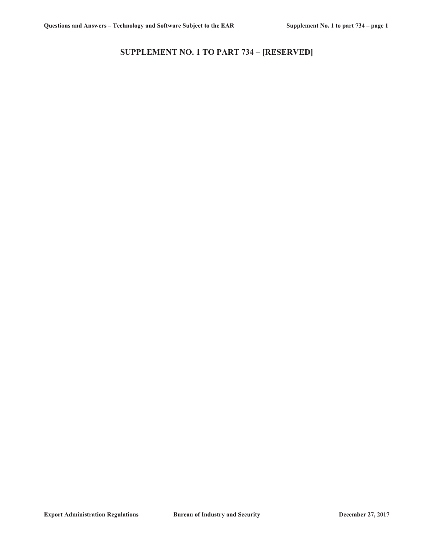# **SUPPLEMENT NO. 1 TO PART 734 – [RESERVED]**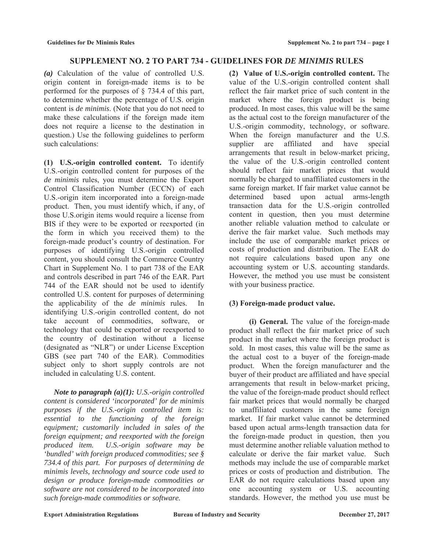# **SUPPLEMENT NO. 2 TO PART 734 - GUIDELINES FOR** *DE MINIMIS* **RULES**

*(a)* Calculation of the value of controlled U.S. origin content in foreign-made items is to be performed for the purposes of § 734.4 of this part, to determine whether the percentage of U.S. origin content is *de minimis*. (Note that you do not need to make these calculations if the foreign made item does not require a license to the destination in question.) Use the following guidelines to perform such calculations:

**(1) U.S.-origin controlled content.** To identify U.S.-origin controlled content for purposes of the *de minimis* rules, you must determine the Export Control Classification Number (ECCN) of each U.S.-origin item incorporated into a foreign-made product. Then, you must identify which, if any, of those U.S.origin items would require a license from BIS if they were to be exported or reexported (in the form in which you received them) to the foreign-made product's country of destination. For purposes of identifying U.S.-origin controlled content, you should consult the Commerce Country Chart in Supplement No. 1 to part 738 of the EAR and controls described in part 746 of the EAR. Part 744 of the EAR should not be used to identify controlled U.S. content for purposes of determining the applicability of the *de minimis* rules. In identifying U.S.-origin controlled content, do not take account of commodities, software, or technology that could be exported or reexported to the country of destination without a license (designated as "NLR") or under License Exception GBS (see part 740 of the EAR). Commodities subject only to short supply controls are not included in calculating U.S. content.

*Note to paragraph (a)(1): U.S.-origin controlled content is considered 'incorporated' for de minimis purposes if the U.S.-origin controlled item is: essential to the functioning of the foreign equipment; customarily included in sales of the foreign equipment; and reexported with the foreign produced item. U.S.-origin software may be 'bundled' with foreign produced commodities; see § 734.4 of this part. For purposes of determining de minimis levels, technology and source code used to design or produce foreign-made commodities or software are not considered to be incorporated into such foreign-made commodities or software.* 

**(2) Value of U.S.-origin controlled content.** The value of the U.S.-origin controlled content shall reflect the fair market price of such content in the market where the foreign product is being produced. In most cases, this value will be the same as the actual cost to the foreign manufacturer of the U.S.-origin commodity, technology, or software. When the foreign manufacturer and the U.S. supplier are affiliated and have special arrangements that result in below-market pricing, the value of the U.S.-origin controlled content should reflect fair market prices that would normally be charged to unaffiliated customers in the same foreign market. If fair market value cannot be determined based upon actual arms-length transaction data for the U.S.-origin controlled content in question, then you must determine another reliable valuation method to calculate or derive the fair market value. Such methods may include the use of comparable market prices or costs of production and distribution. The EAR do not require calculations based upon any one accounting system or U.S. accounting standards. However, the method you use must be consistent with your business practice.

# **(3) Foreign-made product value.**

**(i) General.** The value of the foreign-made product shall reflect the fair market price of such product in the market where the foreign product is sold. In most cases, this value will be the same as the actual cost to a buyer of the foreign-made product. When the foreign manufacturer and the buyer of their product are affiliated and have special arrangements that result in below-market pricing, the value of the foreign-made product should reflect fair market prices that would normally be charged to unaffiliated customers in the same foreign market. If fair market value cannot be determined based upon actual arms-length transaction data for the foreign-made product in question, then you must determine another reliable valuation method to calculate or derive the fair market value. Such methods may include the use of comparable market prices or costs of production and distribution. The EAR do not require calculations based upon any one accounting system or U.S. accounting standards. However, the method you use must be